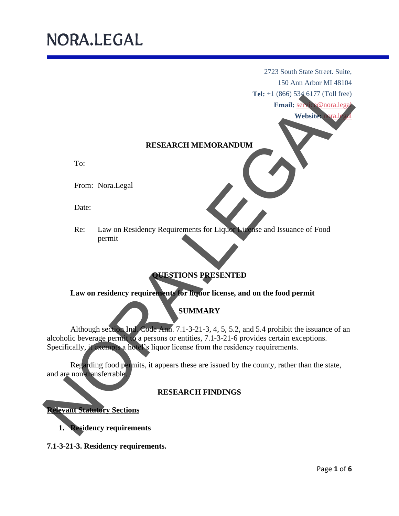2723 South State Street. Suite, 150 Ann Arbor MI 48104

**Tel:** +1 (866) 534 6177 (Toll free)

**Email:** service@nora.legal

Website: nora.le

#### **RESEARCH MEMORANDUM**

To:

From: Nora.Legal

Date:

Re: Law on Residency Requirements for Liquor License and Issuance of Food permit

### **QUESTIONS PRESENTED**

**Law on residency requirements for liquor license, and on the food permit** 

## **SUMMARY**

Although section Ind. Code Ann. 7.1-3-21-3, 4, 5, 5.2, and 5.4 prohibit the issuance of an alcoholic beverage permit to a persons or entities, 7.1-3-21-6 provides certain exceptions. Specifically, it exempts a hotel's liquor license from the residency requirements. Tel: +1 (Mon. March 2014)<br>
Tel: +1 (Mon. March 2014)<br>
Tel: +1 (Mon. March 2014)<br>
From: Noral.egal<br>
Date:<br>
Res: Law on residency requirements for Lagan<br>
Noral.egal<br>
Noral.egal<br>
Noral.egal<br>
Noral.egal<br>
Noral.egal<br>
Noral.egal

Regarding food permits, it appears these are issued by the county, rather than the state, and are non-transferrable.

### **RESEARCH FINDINGS**

**Relevant Statutory Sections**

**1. Residency requirements**

**7.1-3-21-3. Residency requirements.**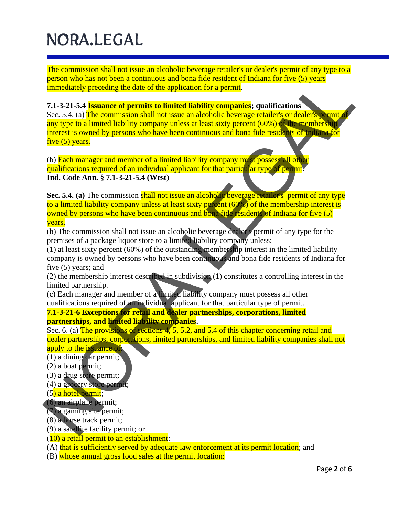The commission shall not issue an alcoholic beverage retailer's or dealer's permit of any type to a person who has not been a continuous and bona fide resident of Indiana for five (5) years immediately preceding the date of the application for a permit.

#### **7.1-3-21-5.4 Issuance of permits to limited liability companies; qualifications**

Sec. 5.4. (a) The commission shall not issue an alcoholic beverage retailer's or dealer's permit of any type to a limited liability company unless at least sixty percent (60%) of the membership interest is owned by persons who have been continuous and bona fide residents of Indiana for five (5) years. person who has not been continuous and bond in the resident of the chiral and the spectral at the application for a permit.<br>
7.1-3-21-54 **Issuance of permits to limited liability companies;** qualifications<br>
20.5-34. (a) Th

(b) Each manager and member of a limited liability company must possess all other qualifications required of an individual applicant for that particular type of permit. **Ind. Code Ann. § 7.1-3-21-5.4 (West)**

Sec. 5.4. (a) The commission shall not issue an alcoholic beverage retailer's permit of any type to a limited liability company unless at least sixty percent (60%) of the membership interest is owned by persons who have been continuous and bona fide residents of Indiana for five (5) years.

(b) The commission shall not issue an alcoholic beverage dealer's permit of any type for the premises of a package liquor store to a limited liability company unless:

(1) at least sixty percent (60%) of the outstanding membership interest in the limited liability company is owned by persons who have been continuous and bona fide residents of Indiana for five (5) years; and

(2) the membership interest described in subdivision (1) constitutes a controlling interest in the limited partnership.

(c) Each manager and member of a limited liability company must possess all other qualifications required of an individual applicant for that particular type of permit.

#### **7.1-3-21-6 Exceptions for retail and dealer partnerships, corporations, limited partnerships, and limited liability companies.**

Sec. 6. (a) The provisions of sections 4, 5, 5.2, and 5.4 of this chapter concerning retail and dealer partnerships, corporations, limited partnerships, and limited liability companies shall not apply to the issuance of:

(1) a dining car permit;

(2) a boat permit;

(3) a drug store permit;

- (4) a grocery store permit;
- (5) a hotel permit;
- (6) an airplane permit;

(7) a gaming site permit;

- (8) a horse track permit;
- (9) a satellite facility permit; or
- (10) a retail permit to an establishment:

(A) that is sufficiently served by adequate law enforcement at its permit location; and

(B) whose annual gross food sales at the permit location: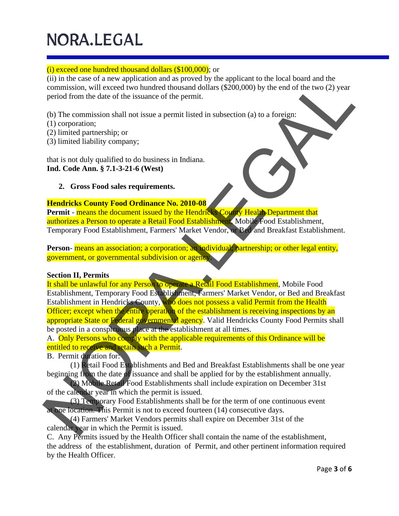## (i) exceed one hundred thousand dollars (\$100,000); or

(ii) in the case of a new application and as proved by the applicant to the local board and the commission, will exceed two hundred thousand dollars (\$200,000) by the end of the two (2) year period from the date of the issuance of the permit.

(b) The commission shall not issue a permit listed in subsection (a) to a foreign:

- (1) corporation;
- (2) limited partnership; or
- (3) limited liability company;

that is not duly qualified to do business in Indiana. **Ind. Code Ann. § 7.1-3-21-6 (West)**

## **2. Gross Food sales requirements.**

## **Hendricks County Food Ordinance No. 2010-08**

Permit - means the document issued by the Hendricks County Health Department that authorizes a Person to operate a Retail Food Establishment, Mobile Food Establishment, Temporary Food Establishment, Farmers' Market Vendor, or Bed and Breakfast Establishment.

Person- means an association; a corporation; an individual; partnership; or other legal entity, government, or governmental subdivision or agency.

## **Section II, Permits**

It shall be unlawful for any Person to operate a Retail Food Establishment, Mobile Food Establishment, Temporary Food Establishment, Farmers' Market Vendor, or Bed and Breakfast Establishment in Hendricks County, who does not possess a valid Permit from the Health Officer; except when the entire operation of the establishment is receiving inspections by an appropriate State or Federal governmental agency. Valid Hendricks County Food Permits shall be posted in a conspicuous place at the establishment at all times. (ii) in the case of a new application and as proved by the angloses of the local board and the constraints and the construction (i) to a foreign:<br>
Commission, will exceed two hundred thousand dollars (\$200,000) by the end

A. Only Persons who comply with the applicable requirements of this Ordinance will be entitled to receive and retain such a Permit.

B. Permit duration for:

(1) Retail Food Establishments and Bed and Breakfast Establishments shall be one year beginning from the date of issuance and shall be applied for by the establishment annually.

(2) Mobile Retail Food Establishments shall include expiration on December 31st of the calendar year in which the permit is issued.

(3) Temporary Food Establishments shall be for the term of one continuous event at one location. This Permit is not to exceed fourteen (14) consecutive days.

(4) Farmers' Market Vendors permits shall expire on December 31st of the calendar year in which the Permit is issued.

C. Any Permits issued by the Health Officer shall contain the name of the establishment, the address of the establishment, duration of Permit, and other pertinent information required by the Health Officer.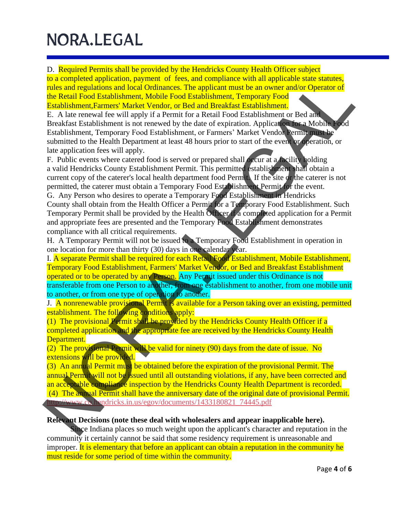D. Required Permits shall be provided by the Hendricks County Health Officer subject to a completed application, payment of fees, and compliance with all applicable state statutes, rules and regulations and local Ordinances. The applicant must be an owner and/or Operator of the Retail Food Establishment, Mobile Food Establishment, Temporary Food Establishment,Farmers' Market Vendor, or Bed and Breakfast Establishment.

E. A late renewal fee will apply if a Permit for a Retail Food Establishment or Bed and Breakfast Establishment is not renewed by the date of expiration. Application for a Mobile Food Establishment, Temporary Food Establishment, or Farmers' Market Vendor Permit must be submitted to the Health Department at least 48 hours prior to start of the event or operation, or late application fees will apply. to a complexel application, payment of free, and complexeres with all applicance with the Read Food Establishment, Temporary Food Establishment White Food Festival Food Establishment Chemic for a Area context of the Read F

F. Public events where catered food is served or prepared shall occur at a facility holding a valid Hendricks County Establishment Permit. This permitted establishment shall obtain a current copy of the caterer's local health department food Permit. If the site or the caterer is not permitted, the caterer must obtain a Temporary Food Establishment Permit for the event. G. Any Person who desires to operate a Temporary Food Establishment in Hendricks

County shall obtain from the Health Officer a Permit for a Temporary Food Establishment. Such Temporary Permit shall be provided by the Health Officer if a completed application for a Permit and appropriate fees are presented and the Temporary Food Establishment demonstrates compliance with all critical requirements.

H. A Temporary Permit will not be issued to a Temporary Food Establishment in operation in one location for more than thirty (30) days in one calendar year.

I. A separate Permit shall be required for each Retail Food Establishment, Mobile Establishment, Temporary Food Establishment, Farmers' Market Vendor, or Bed and Breakfast Establishment operated or to be operated by any Person. Any Permit issued under this Ordinance is not transferable from one Person to another, from one establishment to another, from one mobile unit to another, or from one type of operation to another.

J. A nonrenewable provisional Permit is available for a Person taking over an existing, permitted establishment. The following conditions apply:

(1) The provisional Permit shall be provided by the Hendricks County Health Officer if a completed application and the appropriate fee are received by the Hendricks County Health Department.

(2) The provisional Permit will be valid for ninety (90) days from the date of issue. No extensions will be provided.

(3) An annual Permit must be obtained before the expiration of the provisional Permit. The annual Permit will not be issued until all outstanding violations, if any, have been corrected and an acceptable compliance inspection by the Hendricks County Health Department is recorded.

(4) The annual Permit shall have the anniversary date of the original date of provisional Permit. http://www.co.hendricks.in.us/egov/documents/1433180821\_74445.pdf

#### **Relevant Decisions (note these deal with wholesalers and appear inapplicable here).**

Since Indiana places so much weight upon the applicant's character and reputation in the community it certainly cannot be said that some residency requirement is unreasonable and improper. It is elementary that before an applicant can obtain a reputation in the community he must reside for some period of time within the community.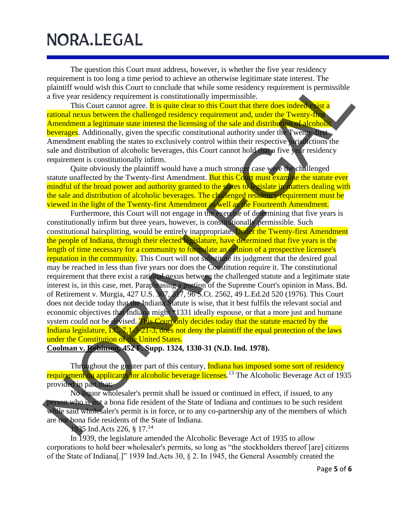The question this Court must address, however, is whether the five year residency requirement is too long a time period to achieve an otherwise legitimate state interest. The plaintiff would wish this Court to conclude that while some residency requirement is permissible a five year residency requirement is constitutionally impermissible.

This Court cannot agree. It is quite clear to this Court that there does indeed exist a rational nexus between the challenged residency requirement and, under the Twenty-first Amendment a legitimate state interest the licensing of the sale and distribution of alcoholic beverages. Additionally, given the specific constitutional authority under the Twenty-first Amendment enabling the states to exclusively control within their respective jurisdictions the sale and distribution of alcoholic beverages, this Court cannot hold that a five year residency requirement is constitutionally infirm.

Quite obviously the plaintiff would have a much stronger case were the challenged statute unaffected by the Twenty-first Amendment. But this Court must examine the statute ever mindful of the broad power and authority granted to the states to legislate in matters dealing with the sale and distribution of alcoholic beverages. The challenged residency requirement must be viewed in the light of the Twenty-first Amendment as well as the Fourteenth Amendment.

Furthermore, this Court will not engage in the exercise of determining that five years is constitutionally infirm but three years, however, is constitutionally permissible. Such constitutional hairsplitting, would be entirely inappropriate. Under the Twenty-first Amendment the people of Indiana, through their elected legislature, have determined that five years is the length of time necessary for a community to formulate an opinion of a prospective licensee's reputation in the community. This Court will not substitute its judgment that the desired goal may be reached in less than five years nor does the Constitution require it. The constitutional requirement that there exist a rational nexus between the challenged statute and a legitimate state interest is, in this case, met. Paraphrasing a portion of the Supreme Court's opinion in Mass. Bd. of Retirement v. Murgia, 427 U.S. 307, 317, 96 S.Ct. 2562, 49 L.Ed.2d 520 (1976). This Court does not decide today that the Indiana Statute is wise, that it best fulfils the relevant social and economic objectives that Indiana might \*1331 ideally espouse, or that a more just and humane system could not be devised. This Court only decides today that the statute enacted by the Indiana legislature, I.C. 7.1-3-21-3, does not deny the plaintiff the equal protection of the laws under the Constitution of the United States. requirement is too long atime period to achieve a otherwood legitimate sate interest. The periodic strate in the same relations of the Strate of Periodic Internactions and the Strate of Periodic Internactions (Section 1981

**Coolman v. Robinson, 452 F. Supp. 1324, 1330-31 (N.D. Ind. 1978).**

Throughout the greater part of this century, **Indiana has imposed some sort of residency** requirement on applicants for alcoholic beverage licenses.<sup>13</sup> The Alcoholic Beverage Act of 1935 provided in part that:

No liquor wholesaler's permit shall be issued or continued in effect, if issued, to any person who is not a bona fide resident of the State of Indiana and continues to be such resident while said wholesaler's permit is in force, or to any co-partnership any of the members of which are not bona fide residents of the State of Indiana.

1935 Ind.Acts 226, § 17.<sup>14</sup>

In 1939, the legislature amended the Alcoholic Beverage Act of 1935 to allow corporations to hold beer wholesaler's permits, so long as "the stockholders thereof [are] citizens of the State of Indiana[.]" 1939 Ind.Acts 30, § 2. In 1945, the General Assembly created the